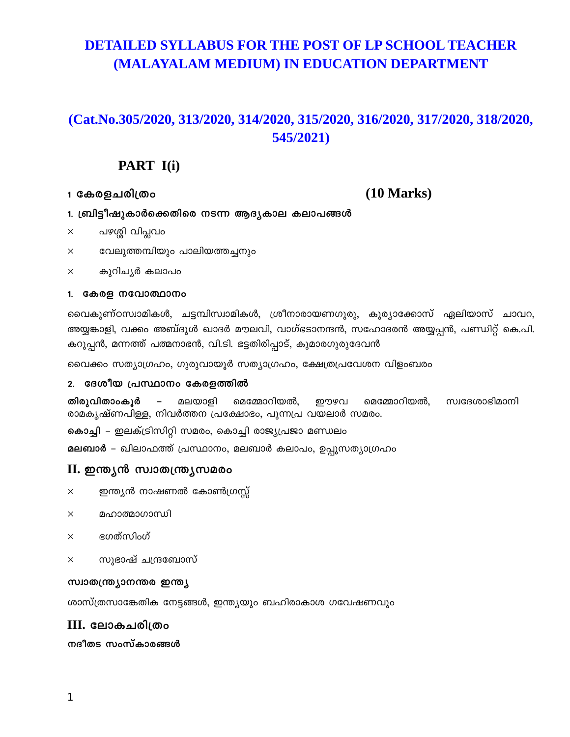# **DETAILED SYLLABUS FOR THE POST OF LP SCHOOL TEACHER** (MALAYALAM MEDIUM) IN EDUCATION DEPARTMENT

# (Cat.No.305/2020, 313/2020, 314/2020, 315/2020, 316/2020, 317/2020, 318/2020, 545/2021)

# PART I(i)

1 കേരളചരിത്രം

### $(10 \text{ Marks})$

- 1. ബ്രിട്ടീഷുകാർക്കെതിരെ നടന്ന ആദൃകാല കലാപങ്ങൾ
- പഴശ്ശി വിപ്ലവം  $\times$
- വേലുത്തമ്പിയും പാലിയത്തച്ചനും  $\times$
- കുറിചൃർ കലാപം  $\times$

### 1. കേരള നവോത്ഥാനം

വൈകുണ്ഠസ്വാമികൾ, ചട്ടമ്പിസ്വാമികൾ, ശ്രീനാരായണഗുരു, കുര്യാക്കോസ് ഏലിയാസ് ചാവറ, അയ്യങ്കാളി, വക്കം അബ്ദുൾ ഖാദർ മൗലവി, വാഗ്ഭടാനന്ദൻ, സഹോദരൻ അയ്യപ്പൻ, പണ്ഡിറ്റ് കെ.പി. കറുപ്പൻ, മന്നത്ത് പത്മനാഭൻ, വി.ടി. ഭട്ടതിരിപ്പാട്, കുമാരഗുരുദേവൻ

വൈക്കം സത്യാഗ്രഹം, ഗുരുവായൂർ സത്യാഗ്രഹം, ക്ഷേത്രപ്രവേശന വിളംബരം

### 2. ദേശീയ പ്രസ്ഥാനം കേരളത്തിൽ

തിരുവിതാംകൂർ  $\sim$  . മലയാളി മെമ്മോറിയൽ, ഈഴവ മെമ്മോറിയൽ, സ്വദേശാഭിമാനി രാമകൃഷ്ണപിള്ള, നിവർത്തന പ്രക്ഷോഭം, പുന്നപ്ര വയലാർ സമരം.

കൊച്ചി – ഇലക്ട്രിസിറ്റി സമരം, കൊച്ചി രാജ്യപ്രജാ മണ്ഡലം

**മലബാർ –** ഖിലാഫത്ത് പ്രസ്ഥാനം, മലബാർ കലാപം, ഉപ്പുസത്യാഗ്രഹം

### II. ഇന്ത്യൻ സ്വാതന്ത്ര്യസമരം

- ഇന്ത്യൻ നാഷണൽ കോൺഗ്രസ്സ്  $\times$
- മഹാത്താഗാസ്ഥി  $\times$
- ഭഗത്സിംഗ്  $\times$
- സുഭാഷ് ചന്ദ്രബോസ്  $\times$

### സ്വാതന്ത്ര്യാനന്തര ഇന്ത്യ

ശാസ്ത്രസാങ്കേതിക നേട്ടങ്ങൾ, ഇന്ത്യയും ബഹിരാകാശ ഗവേഷണവും

### III. ലോകചരിത്രം

നദീതട സംസ്കാരങ്ങൾ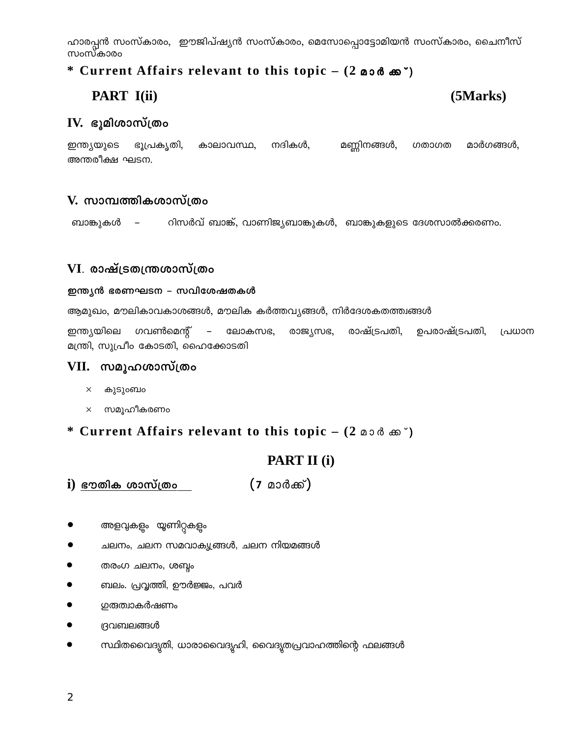ഹാരപ്പൻ സംസ്കാരം, ഇൗജിപ്ഷ്യൻ സംസ്കാരം, മെസോപ്പൊട്ടോമിയൻ സംസ്കാരം, ചൈനീസ് സംസ്കാരം

# \* Current Affairs relevant to this topic – (2 00  $\delta$   $\infty$ )

# PART I(ii)

# (5Marks)

### $IV.$  ഭൂമിശാസ്ത്രം

ഇന്ത്യയുടെ ഭൂപ്രകൃതി, കാലാവസ്ഥ, നദികൾ, മണ്ണിനങ്ങൾ, ഗതാഗത മാർഗങ്ങൾ, അന്തരീക്ഷ ഘടന.

### V. സാമ്പത്തികശാസ്ത്രം

റിസർവ് ബാങ്ക്, വാണിജ്യബാങ്കുകൾ, ബാങ്കുകളുടെ ദേശസാൽക്കരണം. ബാങ്കുകൾ

### $VI$ . രാഷ്ട്രതന്ത്രശാസ്ത്രം

### ഇന്ത്യൻ ഭരണഘടന – സവിശേഷതകൾ

ആമുഖം, മൗലികാവകാശങ്ങൾ, മൗലിക കർത്തവ്യങ്ങൾ, നിർദേശകതത്ത്വങ്ങൾ

ഇന്ത്യയിലെ ഗവൺമെന്റ്  $\mathcal{L}=\mathcal{L}$ ലോകസഭ, രാജ്യസഭ, രാഷ്ട്രപതി, ഉപരാഷ്ട്രപതി, പ്രധാന മന്ത്രി, സുപ്രീം കോടതി, ഹൈക്കോടതി

### VII. സമൂഹശാസ്ത്രം

- $\times$ കുടുംബം
- $\times$  സമൂഹീകരണം

### \* Current Affairs relevant to this topic – (2 00 d cm  $\degree$ )

# PART II (i)

 $(7)$  മാർക്ക്) <u>i) ഭൗതിക ശാസ്ത്രം </u>

- അളവുകളും യൂണിറ്റകളും
- ചലനം, ചലന സമവാക്യ്യങ്ങൾ, ചലന നിയമങ്ങൾ
- തരംഗ ചലനം, ശബ്ദം
- ബലം. പ്രവൃത്തി, ഊർജ്ജം, പവർ
- <u>ഗ</u>രുത്വാകർഷണം
- $\bullet$ ദ്രവബലങ്ങൾ
- $\bullet$ സ്ഥിതവൈദ്യതി, ധാരാവൈദ്യഹി, വൈദൃതപ്രവാഹത്തിന്റെ ഫലങ്ങൾ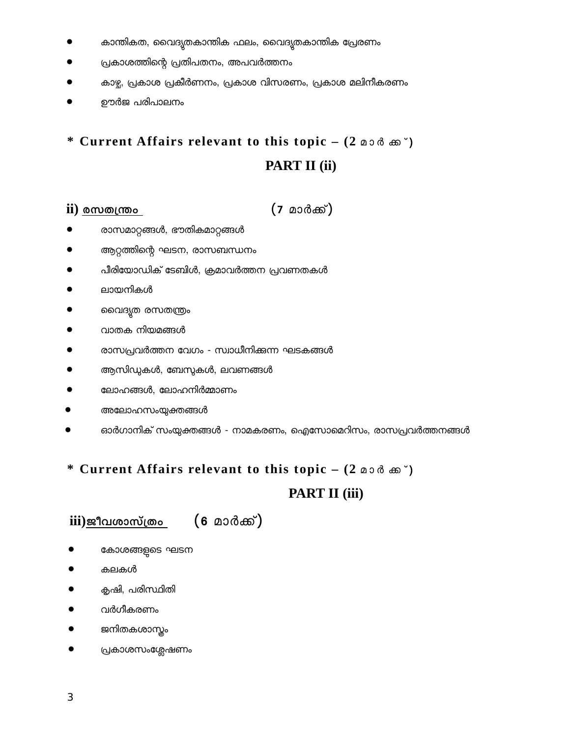- $\bullet$  കാന്തികത, വൈദ്യുതകാന്തിക ഫലം, വൈദ്യുതകാന്തിക പ്രേരണം
- $\bullet$  പ്രകാശത്തിന്റെ പ്രതിപതനം, അപവർത്തനം
- കാഴ, പ്രകാശ പ്രകീര്ണനം, പ്രകാശ വിസരണം, പ്രകാശ മലിനീകരണം
- ഊര്ജ പരിപാലനം

# \* Current Affairs relevant to this topic – (2 മാർ ക്ക<sup>്</sup>) **PART II (ii)**

### **ii)** ckX{´w (7 മാര്ക്ക്)

- രാസമാറ്റങ്ങള, ഭൗതികമാറ്റങ്ങള
- ആറ്റത്തിെ ഫന്റെ ഘടന, രാസബന്ധനം
- പീരിയോഡിക് ടേബിൾ, ക്രമാവർത്തന പ്രവണതകൾ
- ലായനികൾ
- ൈവദ്യുത രസതന്ത്രം
- വാതക നിയമങ്ങൾ
- $\bullet$  രാസപ്രവർത്തന വേഗം സ്വാധീനിക്കുന്ന ഘടകങ്ങൾ
- $\bullet$  ആസിഡുകൾ, ബേസുകൾ, ലവണങ്ങൾ
- $\bullet$  ഭലാഹങ്ങൾ, ലോഹനിർമ്മാണം
- അലോഹസംയുക്തങ്ങൾ
- ഓർഗാനിക് സംയുക്തങ്ങൾ നാമകരണം, ഐസോമെറിസം, രാസപ്രവർത്തനങ്ങൾ
- \* Current Affairs relevant to this topic (2 മാർ ക്ക<sup>്</sup>)

# **PART II (iii)**

# iii<u>)ജീവശാസ്ത്രം</u> (6 മാർക്ക്)

- കോശങ്ങളുടെ ഘടന
- $\bullet$  കലകൾ
- കൃഷി, പരിസ്ഥിതി
- വര്ഗീകരണം
- ജനിതകശാസ്ത്രം
- പ്രകാശസംശ്ലേഷണം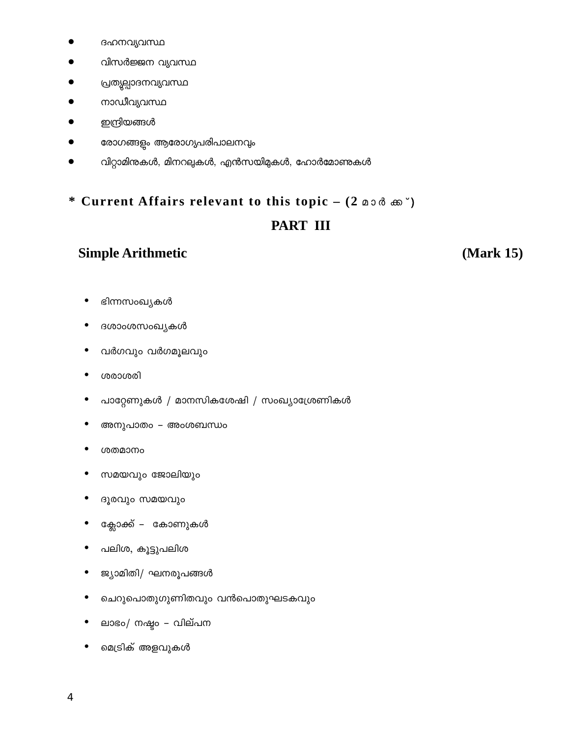- ദഹനവ്യവസ്ഥ
- വിസർജ്ജന വ്യവസ്ഥ
- പ്രത്യല്പാദനവ്യവസ്ഥ
- നാഡീവ്യവസ്ഥ
- ഇന്ദ്രിയങ്ങൾ
- രോഗങ്ങളം ആരോഗ്യപരിപാലനവും
- വിറ്റാമിനുകൾ, മിനറലുകൾ, എൻസയിമുകൾ, ഹോർമോണുകൾ

# \* Current Affairs relevant to this topic - (2 00 % m) **PART III**

# **Simple Arithmetic**

(Mark 15)

- ഭിന്നസംഖ്യകൾ
- ദശാംശസംഖ്യകൾ  $\bullet$
- വർഗവും വർഗമൂലവും
- ശരാശരി
- പാറ്റേണുകൾ / മാനസികശേഷി / സംഖ്യാശ്രേണികൾ  $\bullet$
- അനുപാതം അംശബന്ധം
- ശതമാനം
- $\bullet$ സമയവും ജോലിയും
- ദൂരവും സമയവും  $\bullet$
- ക്ലോക്ക് കോണുകൾ
- പലിശ, കൂട്ടുപലിശ
- ജ്യാമിതി/ഘനരുപങ്ങൾ
- ചെറുപൊതുഗുണിതവും വൻപൊതുഘടകവും  $\bullet$
- ലാഭം/ നഷ്ടം വില്പന
- മെട്രിക് അളവുകൾ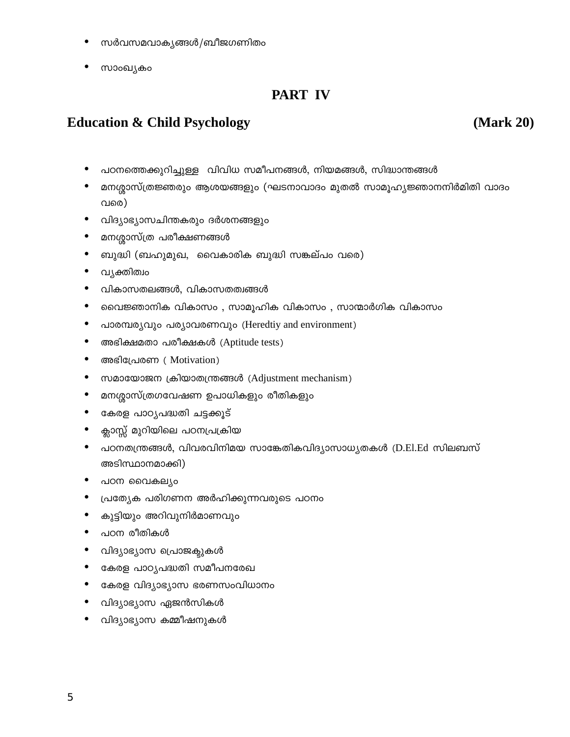- സർവസമവാക്യങ്ങൾ/ബീജഗണിതം
- സാംഖ്യകം

# **PART IV**

# **Education & Child Psychology**

(Mark 20)

- പഠനത്തെക്കുറിച്ചുള്ള വിവിധ സമീപനങ്ങൾ, നിയമങ്ങൾ, സിദ്ധാന്തങ്ങൾ  $\bullet$
- മനശ്ശാസ്ത്രജ്ഞരും ആശയങ്ങളും (ഘടനാവാദം മുതൽ സാമൂഹ്യജ്ഞാനനിർമിതി വാദം വരെ)
- വിദ്യാഭ്യാസചിന്തകരും ദർശനങ്ങളും
- മനശ്ശാസ്ത്ര പരീക്ഷണങ്ങൾ
- ബുദ്ധി (ബഹുമുഖ, വൈകാരിക ബുദ്ധി സങ്കല്പം വരെ)
- വൃക്തിത്വം
- വികാസതലങ്ങൾ, വികാസതത്വങ്ങൾ
- $\bullet$ വൈജ്ഞാനിക വികാസം , സാമൂഹിക വികാസം , സാന്മാർഗിക വികാസം
- പാരമ്പര്യവും പര്യാവരണവും (Heredtiy and environment)
- $\bullet$ അഭിക്ഷമതാ പരീക്ഷകൾ (Aptitude tests)
- അഭിപ്രേരണ (Motivation)
- സമായോജന ക്രിയാതന്ത്രങ്ങൾ (Adjustment mechanism)
- $\bullet$ മനശ്ശാസ്ത്രഗവേഷണ ഉപാധികളും രീതികളും
- കേരള പാഠൃപദ്ധതി ചട്ടക്കൂട്
- $\bullet$ ക്ലാസ്സ് മുറിയിലെ പഠനപ്രക്രിയ
- പഠനതന്ത്രങ്ങൾ, വിവരവിനിമയ സാങ്കേതികവിദ്യാസാധ്യതകൾ (D.El.Ed സിലബസ് അടിസ്ഥാനമാക്കി)
- പഠന വൈകല്യം
- പ്രത്യേക പരിഗണന അർഹിക്കുന്നവരുടെ പഠനം
- $\bullet$ കുട്ടിയും അറിവുനിർമാണവും
- പഠന രീതികൾ
- വിദ്യാഭ്യാസ പ്രൊജക്കുകൾ
- കേരള പാഠ്യപദ്ധതി സമീപനരേഖ
- $\bullet$ കേരള വിദ്യാഭ്യാസ ഭരണസംവിധാനം
- വിദ്യാഭ്യാസ ഏജൻസികൾ
- വിദ്യാഭ്യാസ കമ്മീഷനുകൾ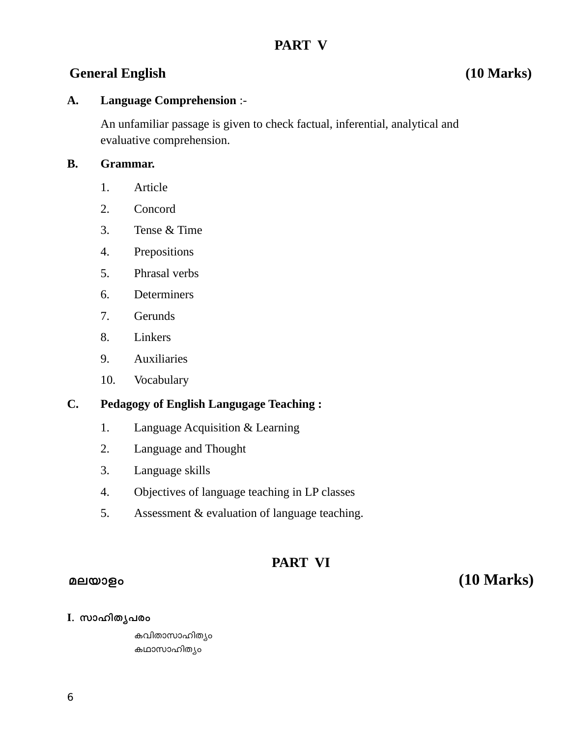# **PART V**

# **General English (10 Marks)**

### **A. Language Comprehension** :-

An unfamiliar passage is given to check factual, inferential, analytical and evaluative comprehension.

### **B. Grammar.**

- 1. Article
- 2. Concord
- 3. Tense & Time
- 4. Prepositions
- 5. Phrasal verbs
- 6. Determiners
- 7. Gerunds
- 8. Linkers
- 9. Auxiliaries
- 10. Vocabulary

### **C. Pedagogy of English Langugage Teaching :**

- 1. Language Acquisition & Learning
- 2. Language and Thought
- 3. Language skills
- 4. Objectives of language teaching in LP classes
- 5. Assessment & evaluation of language teaching.

## **PART VI**

# ae-bmfw **(10 Marks)**

I. സാഹിതൃപരം

കവിതാസാഹിത്യം കഥാസാഹിത്യം